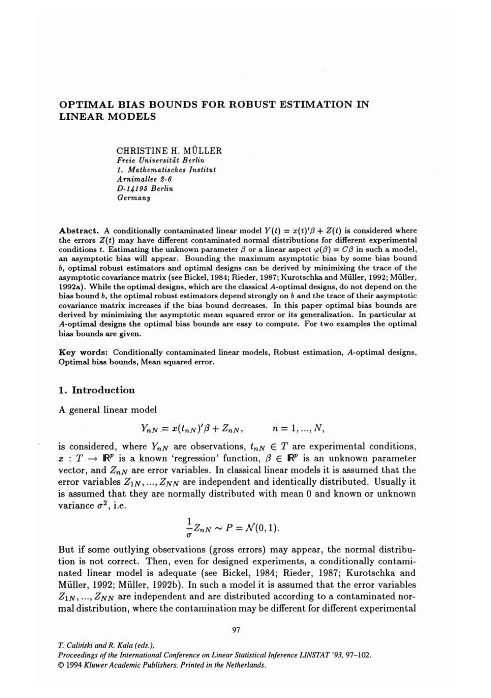# **OPTIMAL BIAS BOUNDS FOR ROBUST ESTIMATION IN LINEAR MODELS**

CHRISTINE H. MOLLER Freie Universität Berlin 1. Mathematisches Instilut Arnimallee 2-6 **0-14195** Berlin Germany

**Abstract.** A conditionally contaminated linear model  $Y(t) = x(t)/\beta + Z(t)$  is considered where the errors  $Z(t)$  may have different contaminated normal distributions for different experimental conditions t. Estimating the unknown parameter  $\beta$  or a linear aspect  $\varphi(\beta) = C\beta$  in such a model, an asymptotic bias will appear. Bounding the maximum asymptotic bias by some bias bound b, optimal robust estimators and optimal designs can be derived by minimizing the trace of the asymptotic covariance matrix (see Bickel, 1984; Rieder, 1987; Kurotschka and Müller, 1992; Müller, 1992a). While the optimal designs, which are the classical A-optimal designs, do not depend on the bias bound b, the optimal robust estimators depend strongly on *b* and the trace of their asymptotic covariance matrix increases if the bias bound decreases. In this paper optimal bias bounds are derived by minimizing the asymptotic mean squared error or its generalization. In particular at A-optimal designs the optimal bias bounds are easy to compute. For two examples the optimal bias bounds are given.

**Key** words: Conditionally contaminated linear models, Robust estimation, A-optimal designs, Optimal bias bounds, Mean squared error.

#### **1. Introduction**

A general linear model

$$
Y_{nN} = x(t_{nN})'\beta + Z_{nN}, \qquad n = 1, ..., N,
$$

is considered, where  $Y_{n,N}$  are observations,  $t_{n,N} \in T$  are experimental conditions,  $x : T \to \mathbb{R}^p$  is a known 'regression' function,  $\beta \in \mathbb{R}^p$  is an unknown parameter vector, and  $Z_{nN}$  are error variables. In classical linear models it is assumed that the error variables  $Z_{1N},..., Z_{NN}$  are independent and identically distributed. Usually it is assumed that they are normally distributed with mean **0** and known or unknown variance  $\sigma^2$ , i.e.

$$
\frac{1}{\sigma}Z_{nN} \sim P = \mathcal{N}(0,1).
$$

But if some outlying observations (gross errors) may appear, the normal distribution is not correct. Then, even for designed experiments, a conditionally contaminated linear model is adequate (see Bickel, 1984; Rieder, 1987; Kurotschka and Miiller, 1992; Miiller, 1992b). In such a model it is assumed that the error variables  $Z_{1N},..., Z_{NN}$  are independent and are distributed according to a contaminated normal distribution, where the contamination may be different for different experimental

O *1994 Kluwer Academic Publishers. Printed in the Netherlands.* 

*T. Caliriski and R. Kala (eds.),* 

*Proceedings of the International Conference on Linear Statistical Inference LINSTAT '93, 97-102.*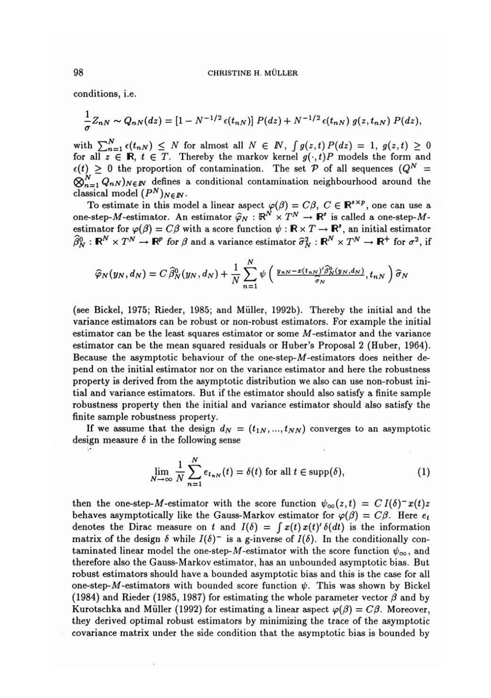conditions, i.e.

$$
\frac{1}{\sigma}Z_{nN}\sim Q_{nN}(dz)=[1-N^{-1/2}\epsilon(t_{nN})]P(dz)+N^{-1/2}\epsilon(t_{nN})g(z,t_{nN})P(dz),
$$

with  $\sum_{n=1}^{N} \epsilon(t_{n,N}) \leq N$  for almost all  $N \in \mathbb{N}$ ,  $\int g(z,t) P(dz) = 1$ ,  $g(z,t) \geq 0$ for all  $z \in \mathbb{R}$ ,  $t \in T$ . Thereby the markov kernel  $g(\cdot, t)P$  models the form and  $\epsilon(t) \geq 0$  the proportion of contamination. The set P of all sequences  $(Q^N =$  $\bigotimes_{n=1}^{N} Q_{nN}$ )NEN defines a conditional contamination neighbourhood around the classical model  $(P^N)_{N \in I\!\!N}$ .

To estimate in this model a linear aspect  $\varphi(\beta) = C\beta$ ,  $C \in \mathbb{R}^{s \times p}$ , one can use a one-step-M-estimator. An estimator  $\hat{\varphi}_N : \mathbb{R}^N \times T^N \to \mathbb{R}^s$  is called a one-step-Mestimator for  $\varphi(\beta) = C\beta$  with a score function  $\psi : \mathbb{R} \times T \to \mathbb{R}^s$ , an initial estimator  $\widehat{\beta}_N^0$ :  $\mathbb{R}^N \times T^N \to \mathbb{R}^p$  for  $\beta$  and a variance estimator  $\widehat{\sigma}_N^2$ :  $\mathbb{R}^N \times T^N \to \mathbb{R}^+$  for  $\sigma^2$ , if

$$
\widehat{\varphi}_N(y_N,d_N)=C\,\widehat{\beta}_N^0(y_N,d_N)+\frac{1}{N}\sum_{n=1}^N\psi\left(\frac{y_{nN}-x(t_{nN})'\widehat{\beta}_N^0(y_N,d_N)}{\widehat{\sigma}_N},t_{nN}\right)\widehat{\sigma}_N
$$

(see Bickel, 1975; Rieder, 1985; and Muller, 1992b). Thereby the initial and the variance estimators can be robust or non-robust estimators. For example the initial estimator can be the least squares estimator or some M-estimator and the variance estimator can be the mean squared residuals or Huber's Proposal 2 (Huber, 1964). Because the asymptotic behaviour of the one-step-M-estimators does neither depend on the initial estimator nor on the variance estimator and here the robustness property is derived from the asymptotic distribution we also can use non-robust initial and variance estimators. But if the estimator should also satisfy a finite sample robustness property then the initial and variance estimator should also satisfy the finite sample robustness property.

If we assume that the design  $d_N = (t_{1N}, ..., t_{NN})$  converges to an asymptotic design measure  $\delta$  in the following sense

$$
\lim_{N \to \infty} \frac{1}{N} \sum_{n=1}^{N} e_{t_{nN}}(t) = \delta(t) \text{ for all } t \in \text{supp}(\delta),
$$
 (1)

then the one-step-M-estimator with the score function  $\psi_{\infty}(z,t) = C I(\delta)^{-x}(t)z$ behaves asymptotically like the Gauss-Markov estimator for  $\varphi(\beta) = C\beta$ . Here  $e_t$ denotes the Dirac measure on t and  $I(\delta) = \int x(t) x(t)^{r} \delta(dt)$  is the information matrix of the design  $\delta$  while  $I(\delta)^{-}$  is a g-inverse of  $I(\delta)$ . In the conditionally contaminated linear model the one-step-M-estimator with the score function  $\psi_{\infty}$ , and therefore also the Gauss-Markov estimator, has an unbounded asymptotic bias. But robust estimators should have a bounded asymptotic bias and this is the case for all one-step-M-estimators with bounded score function  $\psi$ . This was shown by Bickel (1984) and Rieder (1985, 1987) for estimating the whole parameter vector  $\beta$  and by Kurotschka and Müller (1992) for estimating a linear aspect  $\varphi(\beta) = C\beta$ . Moreover, they derived optimal robust estimators by minimizing the trace of the asymptotic covariance matrix under the side condition that the asymptotic bias is bounded by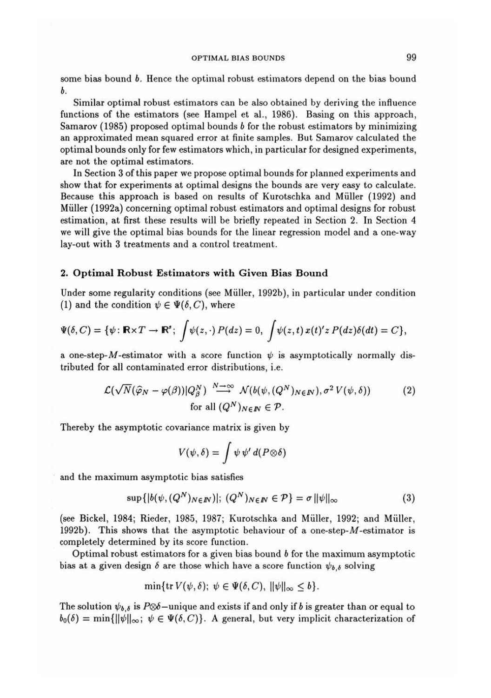some bias bound *b.* Hence the optimal robust estimators depend on the bias bound b.

Similar optimal robust estimators can be also obtained by deriving the influence functions of the estimators (see Hampel et al., 1986). Basing on this approach, Samarov (1985) proposed optimal bounds b for the robust estimators by minimizing an approximated mean squared error at finite samples. But Samarov calculated the optimal bounds only for few estimators which, in particular for designed experiments, are not the optimal estimators.

In Section **3** of this paper we propose optimal bounds for planned experiments and show that for experiments at optimal designs the bounds are very easy to calculate. Because this approach is based on results of Kurotschka and Muller (1992) and Miiller (1992a) concerning optimal robust estimators and optimal designs for robust estimation, at first these results will be briefly repeated in Section 2. In Section 4 we will give the optimal bias bounds for the linear regression model and a one-way lay-out with **3** treatments and a control treatment.

## **2. Optimal Robust Estimators with Given Bias Bound**

Under some regularity conditions (see Muller, 1992b), in particular under condition (1) and the condition  $\psi \in \Psi(\delta, C)$ , where

$$
\Psi(\delta, C) = \{ \psi : \mathbb{R} \times T \to \mathbb{R}^s; \int \psi(z, \cdot) P(dz) = 0, \int \psi(z, t) x(t)' z P(dz) \delta(dt) = C \},
$$

a one-step-M-estimator with a score function  $\psi$  is asymptotically normally distributed for all contaminated error distributions, i.e.

$$
\mathcal{L}(\sqrt{N}(\widehat{\varphi}_N - \varphi(\beta))|Q_{\beta}^N) \stackrel{N \to \infty}{\longrightarrow} \mathcal{N}(b(\psi, (Q^N)_{N \in \mathbb{N}}), \sigma^2 V(\psi, \delta))
$$
\nfor all  $(Q^N)_{N \in \mathbb{N}} \in \mathcal{P}$ .

\n(2)

Thereby the asymptotic covariance matrix is given by

$$
V(\psi,\delta)=\int \psi \psi' d(P\otimes \delta)
$$

and the maximum asymptotic bias satisfies

$$
\sup\{|b(\psi,(Q^N)_{N\in\mathbb{N}})|;\ (Q^N)_{N\in\mathbb{N}}\in\mathcal{P}\}=\sigma\|\psi\|_{\infty} \tag{3}
$$

(see Bickel, 1984; Rieder, 1985, 1987; Kurotschka and Muller, 1992; and Muller, 1992b). This shows that the asymptotic behaviour of a one-step- $M$ -estimator is completely determined by its score function.

Optimal robust estimators for a given bias bound  $\bar{b}$  for the maximum asymptotic bias at a given design  $\delta$  are those which have a score function  $\psi_{b,\delta}$  solving

$$
\min\{\mathrm{tr}\,V(\psi,\delta);\ \psi\in\Psi(\delta,C),\ \|\psi\|_{\infty}\leq b\}.
$$

The solution  $\psi_{b,\delta}$  is P $\otimes \delta$ -unique and exists if and only if b is greater than or equal to  $b_0(\delta) = \min\{\|\psi\|_{\infty};\ \psi \in \Psi(\delta, C)\}\$ . A general, but very implicit characterization of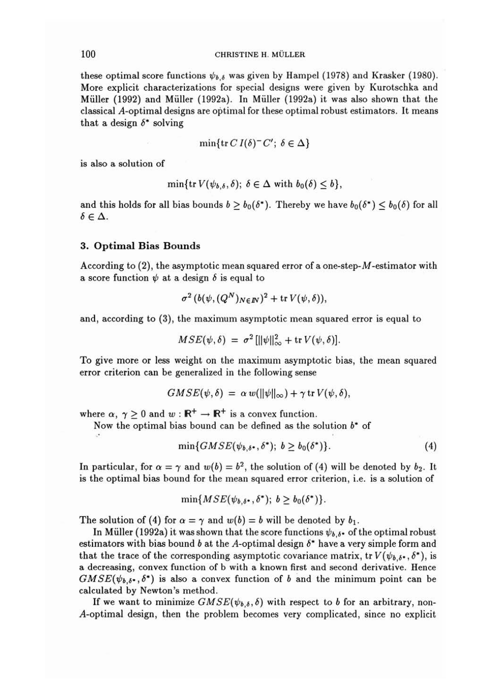## 100 **CHRISTINE H. MULLER**

these optimal score functions  $\psi_{b,\delta}$  was given by Hampel (1978) and Krasker (1980). More explicit characterizations for special designs were given by Kurotschka and Miiller (1992) and Miiller (1992a). In Miiller (1992a) it was also shown that the classical A-optimal designs are optimal for these optimal robust estimators. It means that a design  $\delta^*$  solving

$$
\min\{\text{tr } CI(\delta)^{-}C';\ \delta \in \Delta\}
$$

is also a solution of

$$
\min\{\mathrm{tr}\,V(\psi_{b,\delta},\delta);\ \delta\in\Delta\,\,\mathrm{with}\,\,b_0(\delta)\leq b\},\
$$

and this holds for all bias bounds  $b \geq b_0(\delta^*)$ . Thereby we have  $b_0(\delta^*) \leq b_0(\delta)$  for all  $\delta \in \Delta$ .

### 3. Optimal Bias Bounds

According to  $(2)$ , the asymptotic mean squared error of a one-step- $M$ -estimator with a score function  $\psi$  at a design  $\delta$  is equal to

$$
\sigma^2\left(b(\psi,(Q^N)_{N\in I\!\!N})^2+\text{tr} \,V(\psi,\delta)\right),\,
$$

and, according to **(3),** the maximum asymptotic mean squared error is equal to

$$
MSE(\psi, \delta) = \sigma^2 \left[ ||\psi||_{\infty}^2 + \text{tr } V(\psi, \delta) \right].
$$

To give more or less weight on the maximum asymptotic bias, the mean squared error criterion can be generalized in the following sense

$$
GMSE(\psi,\delta) = \alpha w(||\psi||_{\infty}) + \gamma \operatorname{tr} V(\psi,\delta),
$$

where  $\alpha$ ,  $\gamma \ge 0$  and  $w : \mathbb{R}^+ \to \mathbb{R}^+$  is a convex function.

Now the optimal bias bound can be defined as the solution  $b^*$  of

$$
\min\{GMSE(\psi_{b,\delta^*},\delta^*); \ b \geq b_0(\delta^*)\}.\tag{4}
$$

In particular, for  $\alpha = \gamma$  and  $w(b) = b^2$ , the solution of (4) will be denoted by  $b_2$ . It is the optimal bias hound for the mean squared error criterion, i.e. is a solution of

$$
\min\{MSE(\psi_{b,\delta^*},\delta^*); b\geq b_0(\delta^*)\}.
$$

The solution of (4) for  $\alpha = \gamma$  and  $w(b) = b$  will be denoted by  $b_1$ .

In Müller (1992a) it was shown that the score functions  $\psi_{b,\delta}$  of the optimal robust estimators with bias bound b at the A-optimal design  $\delta^*$  have a very simple form and that the trace of the corresponding asymptotic covariance matrix, tr  $V(\psi_{b,\delta^*}, \delta^*)$ , is a decreasing, convex function of b with a known first and second derivative. Hence  $GMSE(\psi_{b,\delta^*},\delta^*)$  is also a convex function of b and the minimum point can be calculated by Newton's method.

If we want to minimize  $GMSE(\psi_{b,\delta}, \delta)$  with respect to b for an arbitrary, non-A-optimal design, then the problem becomes very complicated, since no explicit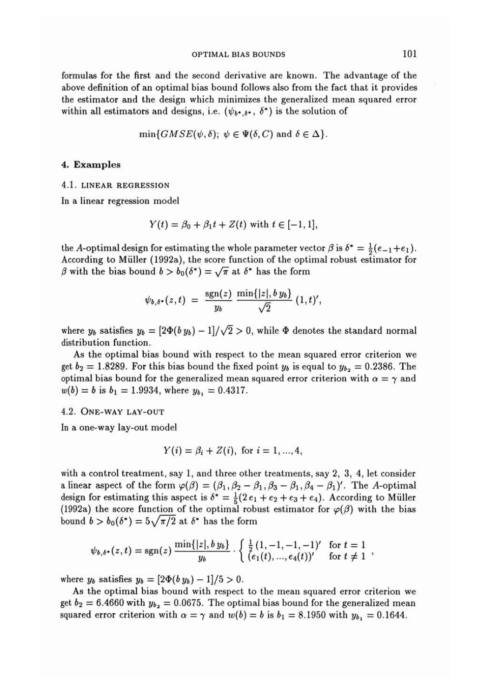formulas for the first and the second derivative are known. The advantage of the above definition of an optimal bias bound follows also from the fact that it provides the estimator and the design which minimizes the generalized mean squared error within all estimators and designs, i.e.  $(\psi_{b^*,\delta^*}, \delta^*)$  is the solution of

$$
\min\{GMSE(\psi,\delta); \ \psi \in \Psi(\delta,C) \ \text{and} \ \delta \in \Delta\}.
$$

#### **4. Examples**

#### 4.1. **LINEAR REGRESSION**

In a linear regression model

$$
Y(t) = \beta_0 + \beta_1 t + Z(t)
$$
 with  $t \in [-1, 1]$ ,

the A-optimal design for estimating the whole parameter vector  $\beta$  is  $\delta^* = \frac{1}{2}(e_{-1}+e_1)$ . According to Miiller (1992a), the score function of the optimal robust estimator for the A-optimal design for estimating the whole parameter vector director of the optimal design of the score function of the optimal of with the bias bound  $b > b_0(\delta^*) = \sqrt{\pi}$  at  $\delta^*$  has the form

$$
\psi_{b,\delta^*}(z,t) = \frac{\text{sgn}(z)}{y_b} \frac{\min\{|z|,b\,y_b\}}{\sqrt{2}} (1,t)',
$$

where  $y_b$  satisfies  $y_b = \left[\frac{2\Phi(b y_b) - 1}{\sqrt{2}}\right] > 0$ , while  $\Phi$  denotes the standard normal distribution function.

As the optimal bias bound with respect to the mean squared error criterion we get  $b_2 = 1.8289$ . For this bias bound the fixed point  $y_b$  is equal to  $y_{b_2} = 0.2386$ . The optimal bias bound for the generalized mean squared error criterion with  $\alpha = \gamma$  and  $w(b) = b$  is  $b_1 = 1.9934$ , where  $y_{b_1} = 0.4317$ .

#### 4.2. **ONE-WAY LAY-OUT**

In a one-way lay-out model

$$
Y(i) = \beta_i + Z(i), \text{ for } i = 1, ..., 4,
$$

with a control treatment, say 1, and three other treatments, say 2, 3, 4, let consider a linear aspect of the form  $\varphi(\beta) = (\beta_1, \beta_2 - \beta_1, \beta_3 - \beta_1, \beta_4 - \beta_1)'$ . The A-optimal design for estimating this aspect is  $\delta^* = \frac{1}{5}(2 e_1 + e_2 + e_3 + e_4)$ . According to Müller (1992a) the score function of the optimal robust estimator for  $\varphi(\beta)$  with the bias bound  $b > b_0(\delta^*) = 5\sqrt{\pi/2}$  at  $\delta^*$  has the form

$$
\psi_{b,\delta^*}(z,t) = \text{sgn}(z) \, \frac{\min\{|z|,b\,y_b\}}{y_b} \cdot \left\{ \begin{array}{l} \frac{1}{2} \, (1,-1,-1,-1)' & \text{for } t=1\\ \left(\frac{1}{2}(t),\dots,\frac{1}{2}(t)\right)' & \text{for } t \neq 1 \end{array} \right.,
$$

where  $y_b$  satisfies  $y_b = \left[2\Phi(b y_b) - 1\right]/5 > 0$ .

**As** the optimal bias bound with respect to the mean squared error criterion we get  $b_2 = 6.4660$  with  $y_{b_2} = 0.0675$ . The optimal bias bound for the generalized mean squared error criterion with  $\alpha = \gamma$  and  $w(b) = b$  is  $b_1 = 8.1950$  with  $y_{b_1} = 0.1644$ .